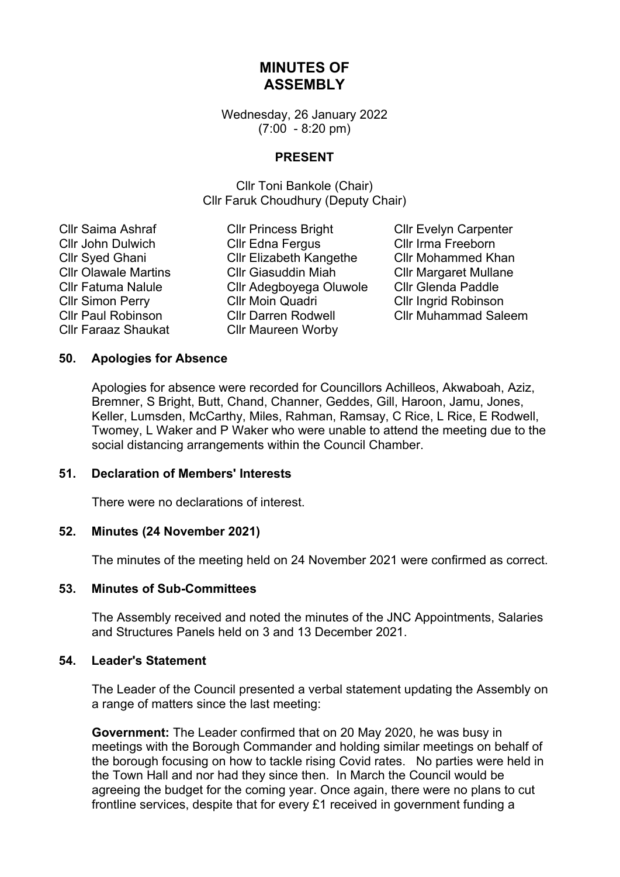# **MINUTES OF ASSEMBLY**

Wednesday, 26 January 2022 (7:00 - 8:20 pm)

## **PRESENT**

Cllr Toni Bankole (Chair) Cllr Faruk Choudhury (Deputy Chair)

Cllr Faraaz Shaukat Cllr Maureen Worby

Cllr Saima Ashraf Cllr Princess Bright Cllr Evelyn Carpenter Cllr John Dulwich Cllr Edna Fergus Cllr Irma Freeborn Cllr Syed Ghani Cllr Elizabeth Kangethe Cllr Mohammed Khan Cllr Olawale Martins Cllr Giasuddin Miah Cllr Margaret Mullane Cllr Fatuma Nalule Cllr Adegboyega Oluwole Cllr Glenda Paddle Cllr Simon Perry Cllr Moin Quadri Cllr Ingrid Robinson Cllr Paul Robinson Cllr Darren Rodwell Cllr Muhammad Saleem

#### **50. Apologies for Absence**

Apologies for absence were recorded for Councillors Achilleos, Akwaboah, Aziz, Bremner, S Bright, Butt, Chand, Channer, Geddes, Gill, Haroon, Jamu, Jones, Keller, Lumsden, McCarthy, Miles, Rahman, Ramsay, C Rice, L Rice, E Rodwell, Twomey, L Waker and P Waker who were unable to attend the meeting due to the social distancing arrangements within the Council Chamber.

#### **51. Declaration of Members' Interests**

There were no declarations of interest.

#### **52. Minutes (24 November 2021)**

The minutes of the meeting held on 24 November 2021 were confirmed as correct.

#### **53. Minutes of Sub-Committees**

The Assembly received and noted the minutes of the JNC Appointments, Salaries and Structures Panels held on 3 and 13 December 2021.

#### **54. Leader's Statement**

The Leader of the Council presented a verbal statement updating the Assembly on a range of matters since the last meeting:

**Government:** The Leader confirmed that on 20 May 2020, he was busy in meetings with the Borough Commander and holding similar meetings on behalf of the borough focusing on how to tackle rising Covid rates. No parties were held in the Town Hall and nor had they since then. In March the Council would be agreeing the budget for the coming year. Once again, there were no plans to cut frontline services, despite that for every £1 received in government funding a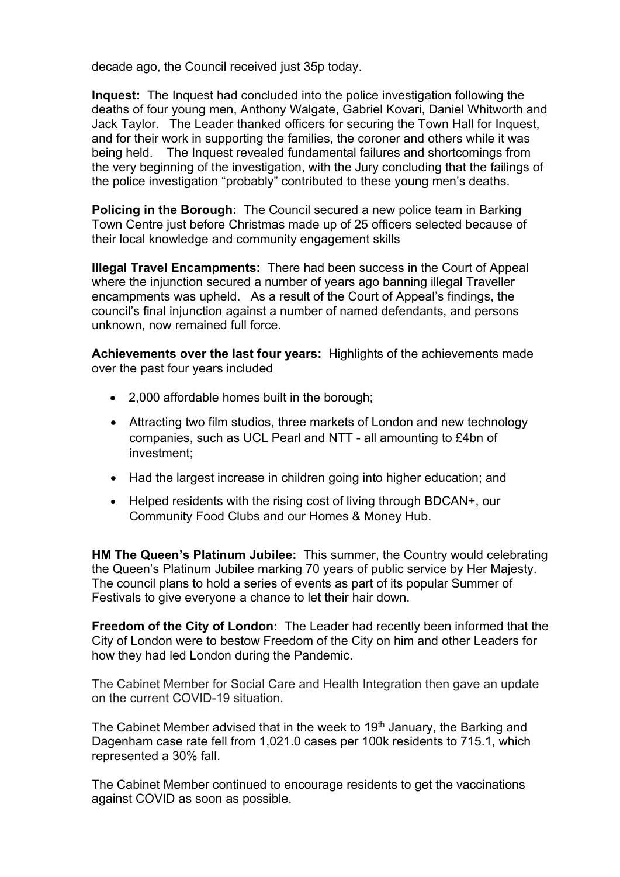decade ago, the Council received just 35p today.

**Inquest:** The Inquest had concluded into the police investigation following the deaths of four young men, Anthony Walgate, Gabriel Kovari, Daniel Whitworth and Jack Taylor. The Leader thanked officers for securing the Town Hall for Inquest, and for their work in supporting the families, the coroner and others while it was being held. The Inquest revealed fundamental failures and shortcomings from the very beginning of the investigation, with the Jury concluding that the failings of the police investigation "probably" contributed to these young men's deaths.

**Policing in the Borough:** The Council secured a new police team in Barking Town Centre just before Christmas made up of 25 officers selected because of their local knowledge and community engagement skills

**Illegal Travel Encampments:** There had been success in the Court of Appeal where the injunction secured a number of years ago banning illegal Traveller encampments was upheld. As a result of the Court of Appeal's findings, the council's final injunction against a number of named defendants, and persons unknown, now remained full force.

**Achievements over the last four years:** Highlights of the achievements made over the past four years included

- 2,000 affordable homes built in the borough;
- Attracting two film studios, three markets of London and new technology companies, such as UCL Pearl and NTT - all amounting to £4bn of investment;
- Had the largest increase in children going into higher education; and
- Helped residents with the rising cost of living through BDCAN+, our Community Food Clubs and our Homes & Money Hub.

**HM The Queen's Platinum Jubilee:** This summer, the Country would celebrating the Queen's Platinum Jubilee marking 70 years of public service by Her Majesty. The council plans to hold a series of events as part of its popular Summer of Festivals to give everyone a chance to let their hair down.

**Freedom of the City of London:** The Leader had recently been informed that the City of London were to bestow Freedom of the City on him and other Leaders for how they had led London during the Pandemic.

The Cabinet Member for Social Care and Health Integration then gave an update on the current COVID-19 situation.

The Cabinet Member advised that in the week to 19<sup>th</sup> January, the Barking and Dagenham case rate fell from 1,021.0 cases per 100k residents to 715.1, which represented a 30% fall.

The Cabinet Member continued to encourage residents to get the vaccinations against COVID as soon as possible.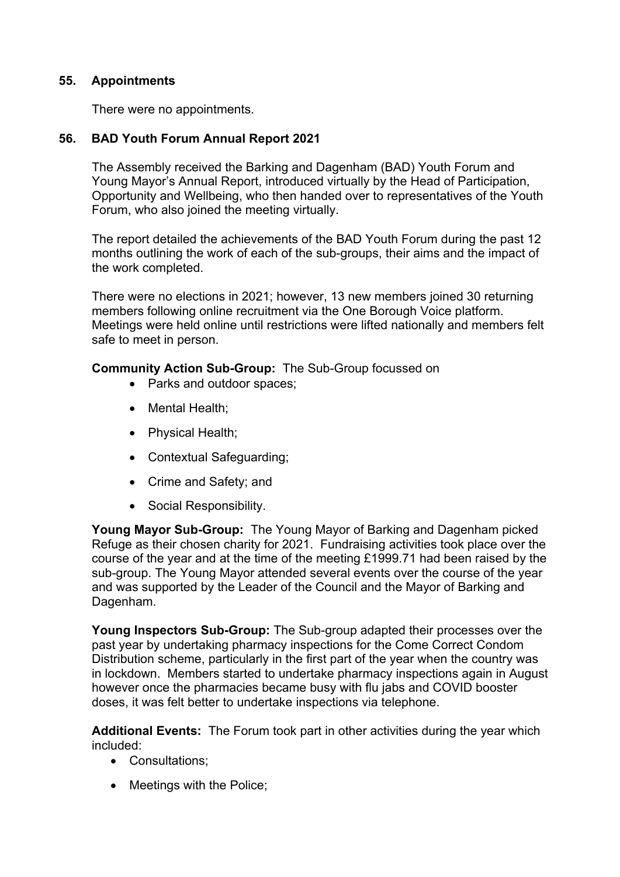# **55. Appointments**

There were no appointments.

# **56. BAD Youth Forum Annual Report 2021**

The Assembly received the Barking and Dagenham (BAD) Youth Forum and Young Mayor's Annual Report, introduced virtually by the Head of Participation, Opportunity and Wellbeing, who then handed over to representatives of the Youth Forum, who also joined the meeting virtually.

The report detailed the achievements of the BAD Youth Forum during the past 12 months outlining the work of each of the sub-groups, their aims and the impact of the work completed.

There were no elections in 2021; however, 13 new members joined 30 returning members following online recruitment via the One Borough Voice platform. Meetings were held online until restrictions were lifted nationally and members felt safe to meet in person.

## **Community Action Sub-Group:** The Sub-Group focussed on

- Parks and outdoor spaces;
- Mental Health;
- Physical Health:
- Contextual Safeguarding;
- Crime and Safety; and
- Social Responsibility.

**Young Mayor Sub-Group:** The Young Mayor of Barking and Dagenham picked Refuge as their chosen charity for 2021. Fundraising activities took place over the course of the year and at the time of the meeting £1999.71 had been raised by the sub-group. The Young Mayor attended several events over the course of the year and was supported by the Leader of the Council and the Mayor of Barking and Dagenham.

**Young Inspectors Sub-Group:** The Sub-group adapted their processes over the past year by undertaking pharmacy inspections for the Come Correct Condom Distribution scheme, particularly in the first part of the year when the country was in lockdown. Members started to undertake pharmacy inspections again in August however once the pharmacies became busy with flu jabs and COVID booster doses, it was felt better to undertake inspections via telephone.

**Additional Events:** The Forum took part in other activities during the year which included:

- Consultations;
- Meetings with the Police;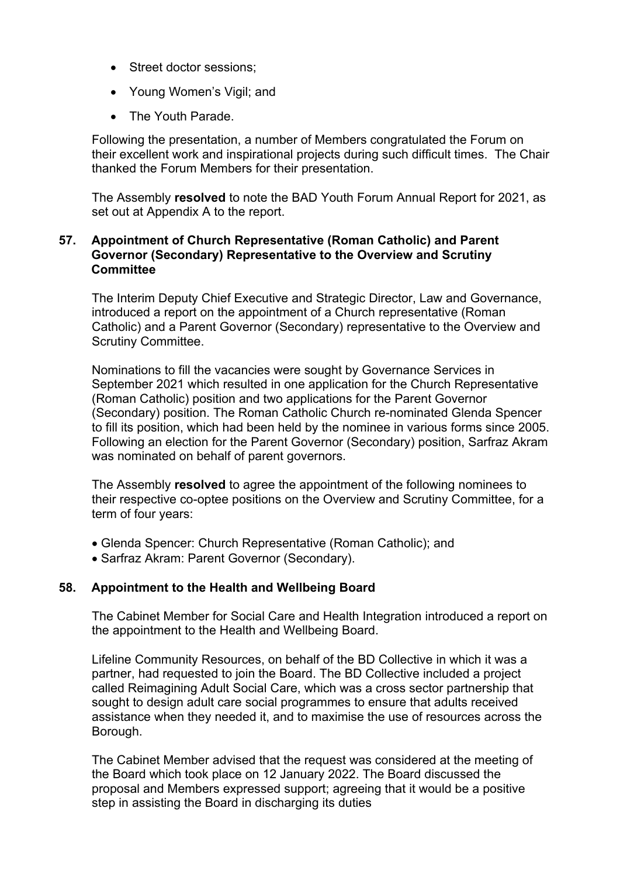- Street doctor sessions:
- Young Women's Vigil; and
- The Youth Parade.

Following the presentation, a number of Members congratulated the Forum on their excellent work and inspirational projects during such difficult times. The Chair thanked the Forum Members for their presentation.

The Assembly **resolved** to note the BAD Youth Forum Annual Report for 2021, as set out at Appendix A to the report.

## **57. Appointment of Church Representative (Roman Catholic) and Parent Governor (Secondary) Representative to the Overview and Scrutiny Committee**

The Interim Deputy Chief Executive and Strategic Director, Law and Governance, introduced a report on the appointment of a Church representative (Roman Catholic) and a Parent Governor (Secondary) representative to the Overview and Scrutiny Committee.

Nominations to fill the vacancies were sought by Governance Services in September 2021 which resulted in one application for the Church Representative (Roman Catholic) position and two applications for the Parent Governor (Secondary) position. The Roman Catholic Church re-nominated Glenda Spencer to fill its position, which had been held by the nominee in various forms since 2005. Following an election for the Parent Governor (Secondary) position, Sarfraz Akram was nominated on behalf of parent governors.

The Assembly **resolved** to agree the appointment of the following nominees to their respective co-optee positions on the Overview and Scrutiny Committee, for a term of four years:

- Glenda Spencer: Church Representative (Roman Catholic); and
- Sarfraz Akram: Parent Governor (Secondary).

## **58. Appointment to the Health and Wellbeing Board**

The Cabinet Member for Social Care and Health Integration introduced a report on the appointment to the Health and Wellbeing Board.

Lifeline Community Resources, on behalf of the BD Collective in which it was a partner, had requested to join the Board. The BD Collective included a project called Reimagining Adult Social Care, which was a cross sector partnership that sought to design adult care social programmes to ensure that adults received assistance when they needed it, and to maximise the use of resources across the Borough.

The Cabinet Member advised that the request was considered at the meeting of the Board which took place on 12 January 2022. The Board discussed the proposal and Members expressed support; agreeing that it would be a positive step in assisting the Board in discharging its duties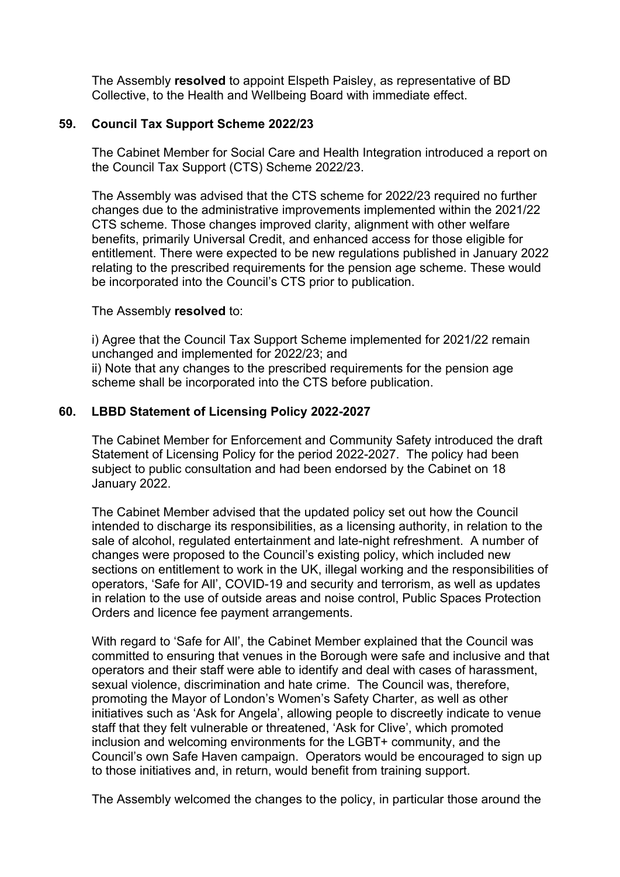The Assembly **resolved** to appoint Elspeth Paisley, as representative of BD Collective, to the Health and Wellbeing Board with immediate effect.

## **59. Council Tax Support Scheme 2022/23**

The Cabinet Member for Social Care and Health Integration introduced a report on the Council Tax Support (CTS) Scheme 2022/23.

The Assembly was advised that the CTS scheme for 2022/23 required no further changes due to the administrative improvements implemented within the 2021/22 CTS scheme. Those changes improved clarity, alignment with other welfare benefits, primarily Universal Credit, and enhanced access for those eligible for entitlement. There were expected to be new regulations published in January 2022 relating to the prescribed requirements for the pension age scheme. These would be incorporated into the Council's CTS prior to publication.

#### The Assembly **resolved** to:

i) Agree that the Council Tax Support Scheme implemented for 2021/22 remain unchanged and implemented for 2022/23; and ii) Note that any changes to the prescribed requirements for the pension age scheme shall be incorporated into the CTS before publication.

## **60. LBBD Statement of Licensing Policy 2022-2027**

The Cabinet Member for Enforcement and Community Safety introduced the draft Statement of Licensing Policy for the period 2022-2027. The policy had been subject to public consultation and had been endorsed by the Cabinet on 18 January 2022.

The Cabinet Member advised that the updated policy set out how the Council intended to discharge its responsibilities, as a licensing authority, in relation to the sale of alcohol, regulated entertainment and late-night refreshment. A number of changes were proposed to the Council's existing policy, which included new sections on entitlement to work in the UK, illegal working and the responsibilities of operators, 'Safe for All', COVID-19 and security and terrorism, as well as updates in relation to the use of outside areas and noise control, Public Spaces Protection Orders and licence fee payment arrangements.

With regard to 'Safe for All', the Cabinet Member explained that the Council was committed to ensuring that venues in the Borough were safe and inclusive and that operators and their staff were able to identify and deal with cases of harassment, sexual violence, discrimination and hate crime. The Council was, therefore, promoting the Mayor of London's Women's Safety Charter, as well as other initiatives such as 'Ask for Angela', allowing people to discreetly indicate to venue staff that they felt vulnerable or threatened, 'Ask for Clive', which promoted inclusion and welcoming environments for the LGBT+ community, and the Council's own Safe Haven campaign. Operators would be encouraged to sign up to those initiatives and, in return, would benefit from training support.

The Assembly welcomed the changes to the policy, in particular those around the